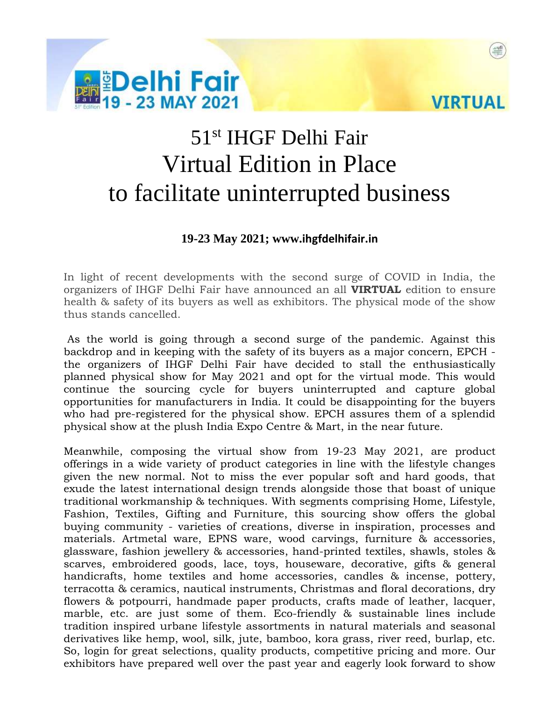



# 51st IHGF Delhi Fair Virtual Edition in Place to facilitate uninterrupted business

## **19-23 May 2021; www.ihgfdelhifair.in**

In light of recent developments with the second surge of COVID in India, the organizers of IHGF Delhi Fair have announced an all **VIRTUAL** edition to ensure health & safety of its buyers as well as exhibitors. The physical mode of the show thus stands cancelled.

As the world is going through a second surge of the pandemic. Against this backdrop and in keeping with the safety of its buyers as a major concern, EPCH the organizers of IHGF Delhi Fair have decided to stall the enthusiastically planned physical show for May 2021 and opt for the virtual mode. This would continue the sourcing cycle for buyers uninterrupted and capture global opportunities for manufacturers in India. It could be disappointing for the buyers who had pre-registered for the physical show. EPCH assures them of a splendid physical show at the plush India Expo Centre & Mart, in the near future.

Meanwhile, composing the virtual show from 19-23 May 2021, are product offerings in a wide variety of product categories in line with the lifestyle changes given the new normal. Not to miss the ever popular soft and hard goods, that exude the latest international design trends alongside those that boast of unique traditional workmanship & techniques. With segments comprising Home, Lifestyle, Fashion, Textiles, Gifting and Furniture, this sourcing show offers the global buying community - varieties of creations, diverse in inspiration, processes and materials. Artmetal ware, EPNS ware, wood carvings, furniture & accessories, glassware, fashion jewellery & accessories, hand-printed textiles, shawls, stoles & scarves, embroidered goods, lace, toys, houseware, decorative, gifts & general handicrafts, home textiles and home accessories, candles & incense, pottery, terracotta & ceramics, nautical instruments, Christmas and floral decorations, dry flowers & potpourri, handmade paper products, crafts made of leather, lacquer, marble, etc. are just some of them. Eco-friendly & sustainable lines include tradition inspired urbane lifestyle assortments in natural materials and seasonal derivatives like hemp, wool, silk, jute, bamboo, kora grass, river reed, burlap, etc. So, login for great selections, quality products, competitive pricing and more. Our exhibitors have prepared well over the past year and eagerly look forward to show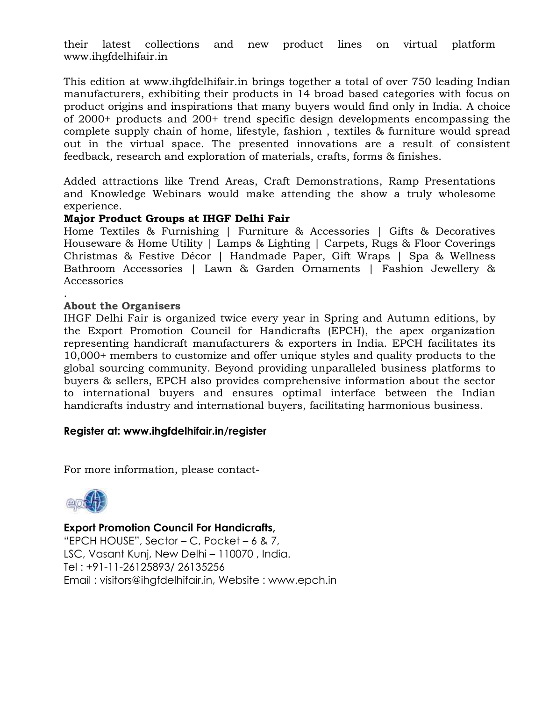their latest collections and new product lines on virtual platform www.ihgfdelhifair.in

This edition at [www.ihgfdelhifair.in](http://www.ihgfdelhifair.in/) brings together a total of over 750 leading Indian manufacturers, exhibiting their products in 14 broad based categories with focus on product origins and inspirations that many buyers would find only in India. A choice of 2000+ products and 200+ trend specific design developments encompassing the complete supply chain of home, lifestyle, fashion , textiles & furniture would spread out in the virtual space. The presented innovations are a result of consistent feedback, research and exploration of materials, crafts, forms & finishes.

Added attractions like Trend Areas, Craft Demonstrations, Ramp Presentations and Knowledge Webinars would make attending the show a truly wholesome experience.

### **Major Product Groups at IHGF Delhi Fair**

Home Textiles & Furnishing | Furniture & Accessories | Gifts & Decoratives Houseware & Home Utility | Lamps & Lighting | Carpets, Rugs & Floor Coverings Christmas & Festive Décor | Handmade Paper, Gift Wraps | Spa & Wellness Bathroom Accessories | Lawn & Garden Ornaments | Fashion Jewellery & Accessories

#### **About the Organisers**

.

IHGF Delhi Fair is organized twice every year in Spring and Autumn editions, by the Export Promotion Council for Handicrafts (EPCH), the apex organization representing handicraft manufacturers & exporters in India. EPCH facilitates its 10,000+ members to customize and offer unique styles and quality products to the global sourcing community. Beyond providing unparalleled business platforms to buyers & sellers, EPCH also provides comprehensive information about the sector to international buyers and ensures optimal interface between the Indian handicrafts industry and international buyers, facilitating harmonious business.

#### **Register at: [www.ihgfdelhifair.in/register](http://www.ihgfdelhifair.in/register)**

For more information, please contact-



**Export Promotion Council For Handicrafts,** "EPCH HOUSE", Sector – C, Pocket – 6 & 7, LSC, Vasant Kunj, New Delhi – 110070 , India. Tel : +91-11-26125893/ 26135256 Email : [visitors@ihgfdelhifair.in,](mailto:visitors@ihgfdelhifair.in) Website : [www.epch.in](http://www.epch.in/)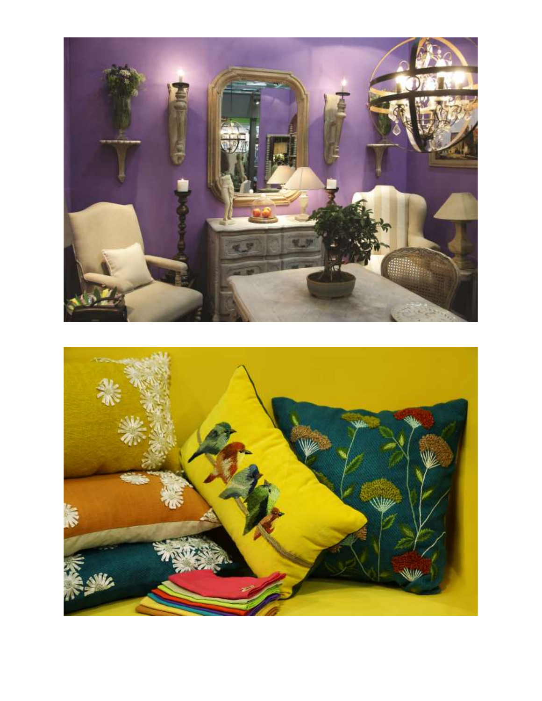

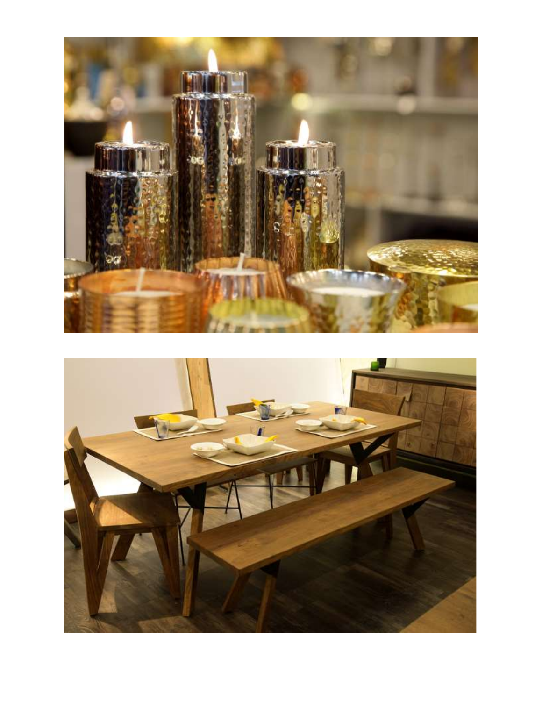